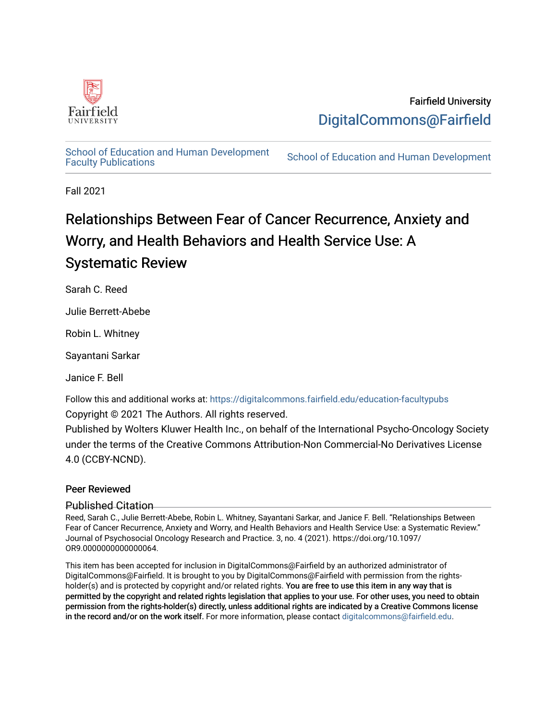

## Fairfield University [DigitalCommons@Fairfield](https://digitalcommons.fairfield.edu/)

[School of Education and Human Development](https://digitalcommons.fairfield.edu/education-facultypubs)<br>Faculty Publications

School of Education and Human Development

Fall 2021

# Relationships Between Fear of Cancer Recurrence, Anxiety and Worry, and Health Behaviors and Health Service Use: A Systematic Review

Sarah C. Reed

Julie Berrett-Abebe

Robin L. Whitney

Sayantani Sarkar

Janice F. Bell

Follow this and additional works at: [https://digitalcommons.fairfield.edu/education-facultypubs](https://digitalcommons.fairfield.edu/education-facultypubs?utm_source=digitalcommons.fairfield.edu%2Feducation-facultypubs%2F191&utm_medium=PDF&utm_campaign=PDFCoverPages) 

Copyright © 2021 The Authors. All rights reserved.

Published by Wolters Kluwer Health Inc., on behalf of the International Psycho-Oncology Society under the terms of the Creative Commons Attribution-Non Commercial-No Derivatives License 4.0 (CCBY-NCND).

## Peer Reviewed

Published Citation

Reed, Sarah C., Julie Berrett-Abebe, Robin L. Whitney, Sayantani Sarkar, and Janice F. Bell. "Relationships Between Fear of Cancer Recurrence, Anxiety and Worry, and Health Behaviors and Health Service Use: a Systematic Review." Journal of Psychosocial Oncology Research and Practice. 3, no. 4 (2021). https://doi.org/10.1097/ OR9.0000000000000064.

This item has been accepted for inclusion in DigitalCommons@Fairfield by an authorized administrator of DigitalCommons@Fairfield. It is brought to you by DigitalCommons@Fairfield with permission from the rightsholder(s) and is protected by copyright and/or related rights. You are free to use this item in any way that is permitted by the copyright and related rights legislation that applies to your use. For other uses, you need to obtain permission from the rights-holder(s) directly, unless additional rights are indicated by a Creative Commons license in the record and/or on the work itself. For more information, please contact [digitalcommons@fairfield.edu.](mailto:digitalcommons@fairfield.edu)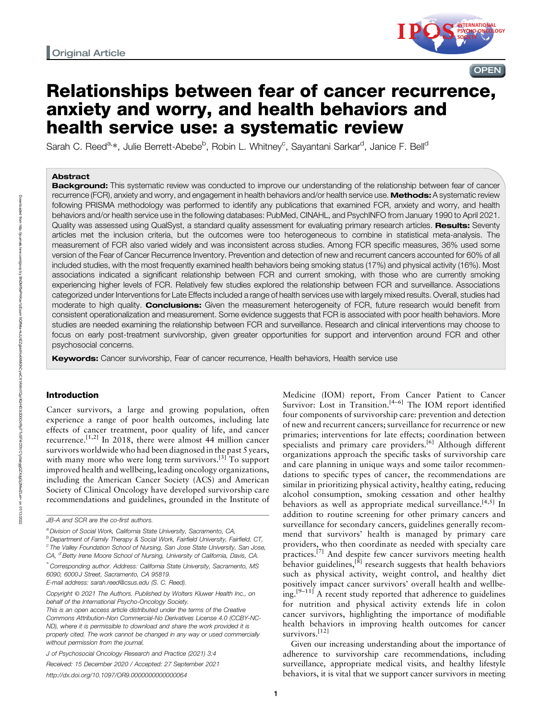

## Relationships between fear of cancer recurrence, anxiety and worry, and health behaviors and health service use: a systematic review

Sarah C. Reed<sup>a,</sup>\*, Julie Berrett-Abebe<sup>b</sup>, Robin L. Whitney<sup>c</sup>, Sayantani Sarkar<sup>d</sup>, Janice F. Bell<sup>d</sup>

#### Abstract

Background: This systematic review was conducted to improve our understanding of the relationship between fear of cancer recurrence (FCR), anxiety and worry, and engagement in health behaviors and/or health service use. Methods: A systematic review following PRISMA methodology was performed to identify any publications that examined FCR, anxiety and worry, and health behaviors and/or health service use in the following databases: PubMed, CINAHL, and PsychINFO from January 1990 to April 2021. Quality was assessed using QualSyst, a standard quality assessment for evaluating primary research articles. Results: Seventy articles met the inclusion criteria, but the outcomes were too heterogeneous to combine in statistical meta-analysis. The measurement of FCR also varied widely and was inconsistent across studies. Among FCR specific measures, 36% used some version of the Fear of Cancer Recurrence Inventory. Prevention and detection of new and recurrent cancers accounted for 60% of all included studies, with the most frequently examined health behaviors being smoking status (17%) and physical activity (16%). Most associations indicated a significant relationship between FCR and current smoking, with those who are currently smoking experiencing higher levels of FCR. Relatively few studies explored the relationship between FCR and surveillance. Associations categorized under Interventions for Late Effects included a range of health services use with largely mixed results. Overall, studies had moderate to high quality. **Conclusions:** Given the measurement heterogeneity of FCR, future research would benefit from consistent operationalization and measurement. Some evidence suggests that FCR is associated with poor health behaviors. More studies are needed examining the relationship between FCR and surveillance. Research and clinical interventions may choose to focus on early post-treatment survivorship, given greater opportunities for support and intervention around FCR and other psychosocial concerns.

Keywords: Cancer survivorship, Fear of cancer recurrence, Health behaviors, Health service use

## Introduction

Cancer survivors, a large and growing population, often experience a range of poor health outcomes, including late effects of cancer treatment, poor quality of life, and cancer recurrence.<sup>[1,2]</sup> In 2018, there were almost 44 million cancer survivors worldwide who had been diagnosed in the past 5 years, with many more who were long term survivors.<sup>[3]</sup> To support improved health and wellbeing, leading oncology organizations, including the American Cancer Society (ACS) and American Society of Clinical Oncology have developed survivorship care recommendations and guidelines, grounded in the Institute of

E-mail address: [sarah.reed@csus.edu](mailto:sarah.reed@csus.edu) (S. C. Reed).

Medicine (IOM) report, From Cancer Patient to Cancer Survivor: Lost in Transition.<sup>[4-6]</sup> The IOM report identified four components of survivorship care: prevention and detection of new and recurrent cancers; surveillance for recurrence or new primaries; interventions for late effects; coordination between specialists and primary care providers.<sup>[6]</sup> Although different organizations approach the specific tasks of survivorship care and care planning in unique ways and some tailor recommendations to specific types of cancer, the recommendations are similar in prioritizing physical activity, healthy eating, reducing alcohol consumption, smoking cessation and other healthy behaviors as well as appropriate medical surveillance.<sup>[4,5]</sup> In addition to routine screening for other primary cancers and surveillance for secondary cancers, guidelines generally recommend that survivors' health is managed by primary care providers, who then coordinate as needed with specialty care practices.[7] And despite few cancer survivors meeting health behavior guidelines,<sup>[8]</sup> research suggests that health behaviors such as physical activity, weight control, and healthy diet positively impact cancer survivors' overall health and wellbe- $\lim_{h \to 1}$  A recent study reported that adherence to guidelines for nutrition and physical activity extends life in colon cancer survivors, highlighting the importance of modifiable health behaviors in improving health outcomes for cancer survivors.<sup>[12]</sup>

Given our increasing understanding about the importance of adherence to survivorship care recommendations, including surveillance, appropriate medical visits, and healthy lifestyle behaviors, it is vital that we support cancer survivors in meeting

JB-A and SCR are the co-first authors.

a Division of Social Work, California State University, Sacramento, CA,

<sup>&</sup>lt;sup>b</sup> Department of Family Therapy & Social Work, Fairfield University, Fairfield, CT,  $\degree$  The Valley Foundation School of Nursing, San Jose State University, San Jose, CA, <sup>d</sup> Betty Irene Moore School of Nursing, University of California, Davis, CA.

<sup>∗</sup> Corresponding author. Address: California State University, Sacramento, MS 6090, 6000J Street, Sacramento, CA 95819.

Copyright © 2021 The Authors. Published by Wolters Kluwer Health Inc., on behalf of the International Psycho-Oncology Society.

This is an open access article distributed under the terms of the Creative Commons Attribution-Non Commercial-No Derivatives License 4.0 (CCBY-NC-ND), where it is permissible to download and share the work provided it is properly cited. The work cannot be changed in any way or used commercially without permission from the journal.

J of Psychosocial Oncology Research and Practice (2021) 3:4

Received: 15 December 2020 / Accepted: 27 September 2021

<http://dx.doi.org/10.1097/OR9.0000000000000064>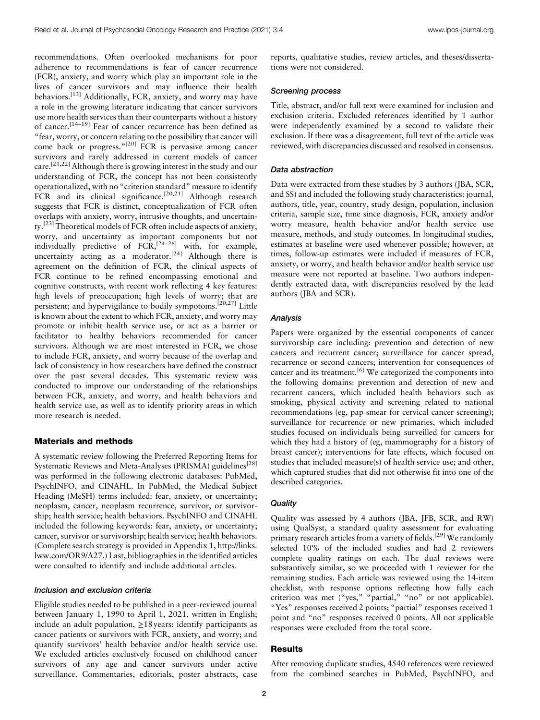recommendations. Often overlooked mechanisms for poor adherence to recommendations is fear of cancer recurrence (FCR), anxiety, and worry which play an important role in the lives of cancer survivors and may influence their health behaviors.<sup>[13]</sup> Additionally, FCR, anxiety, and worry may have a role in the growing literature indicating that cancer survivors use more health services than their counterparts without a history of cancer.[14–19] Fear of cancer recurrence has been defined as "fear, worry, or concern relating to the possibility that cancer will come back or progress."[20] FCR is pervasive among cancer survivors and rarely addressed in current models of cancer care.[21,22] Although there is growing interest in the study and our understanding of FCR, the concept has not been consistently operationalized, with no "criterion standard" measure to identify FCR and its clinical significance.<sup>[20,21]</sup> Although research suggests that FCR is distinct, conceptualization of FCR often overlaps with anxiety, worry, intrusive thoughts, and uncertainty.[23] Theoretical models of FCR often include aspects of anxiety, worry, and uncertainty as important components but not individually predictive of  $FCR$ ,<sup>[24–26]</sup> with, for example, uncertainty acting as a moderator.<sup>[24]</sup> Although there is agreement on the definition of FCR, the clinical aspects of FCR continue to be refined encompassing emotional and cognitive constructs, with recent work reflecting 4 key features: high levels of preoccupation; high levels of worry; that are persistent; and hypervigilance to bodily sympotoms.<sup>[20,27]</sup> Little is known about the extent to which FCR, anxiety, and worry may promote or inhibit health service use, or act as a barrier or facilitator to healthy behaviors recommended for cancer survivors. Although we are most interested in FCR, we chose to include FCR, anxiety, and worry because of the overlap and lack of consistency in how researchers have defined the construct over the past several decades. This systematic review was conducted to improve our understanding of the relationships between FCR, anxiety, and worry, and health behaviors and health service use, as well as to identify priority areas in which more research is needed.

## Materials and methods

A systematic review following the Preferred Reporting Items for Systematic Reviews and Meta-Analyses (PRISMA) guidelines<sup>[28]</sup> was performed in the following electronic databases: PubMed, PsychINFO, and CINAHL. In PubMed, the Medical Subject Heading (MeSH) terms included: fear, anxiety, or uncertainty; neoplasm, cancer, neoplasm recurrence, survivor, or survivorship; health service; health behaviors. PsychINFO and CINAHL included the following keywords: fear, anxiety, or uncertainty; cancer, survivor or survivorship; health service; health behaviors. (Complete search strategy is provided in Appendix 1, [http://links.](http://links.lww.com/OR9/A27) [lww.com/OR9/A27.](http://links.lww.com/OR9/A27)) Last, bibliographies in the identified articles were consulted to identify and include additional articles.

### Inclusion and exclusion criteria

Eligible studies needed to be published in a peer-reviewed journal between January 1, 1990 to April 1, 2021, written in English; include an adult population,  $\geq$  18 years; identify participants as cancer patients or survivors with FCR, anxiety, and worry; and quantify survivors' health behavior and/or health service use. We excluded articles exclusively focused on childhood cancer survivors of any age and cancer survivors under active surveillance. Commentaries, editorials, poster abstracts, case reports, qualitative studies, review articles, and theses/dissertations were not considered.

## Screening process

Title, abstract, and/or full text were examined for inclusion and exclusion criteria. Excluded references identified by 1 author were independently examined by a second to validate their exclusion. If there was a disagreement, full text of the article was reviewed, with discrepancies discussed and resolved in consensus.

#### Data abstraction

Data were extracted from these studies by 3 authors (JBA, SCR, and SS) and included the following study characteristics: journal, authors, title, year, country, study design, population, inclusion criteria, sample size, time since diagnosis, FCR, anxiety and/or worry measure, health behavior and/or health service use measure, methods, and study outcomes. In longitudinal studies, estimates at baseline were used whenever possible; however, at times, follow-up estimates were included if measures of FCR, anxiety, or worry, and health behavior and/or health service use measure were not reported at baseline. Two authors independently extracted data, with discrepancies resolved by the lead authors (JBA and SCR).

#### Analysis

Papers were organized by the essential components of cancer survivorship care including: prevention and detection of new cancers and recurrent cancer; surveillance for cancer spread, recurrence or second cancers; intervention for consequences of cancer and its treatment.<sup>[6]</sup> We categorized the components into the following domains: prevention and detection of new and recurrent cancers, which included health behaviors such as smoking, physical activity and screening related to national recommendations (eg, pap smear for cervical cancer screening); surveillance for recurrence or new primaries, which included studies focused on individuals being surveilled for cancers for which they had a history of (eg, mammography for a history of breast cancer); interventions for late effects, which focused on studies that included measure(s) of health service use; and other, which captured studies that did not otherwise fit into one of the described categories.

## **Quality**

Quality was assessed by 4 authors (JBA, JFB, SCR, and RW) using QualSyst, a standard quality assessment for evaluating primary research articles from a variety of fields.<sup>[29]</sup> We randomly selected 10% of the included studies and had 2 reviewers complete quality ratings on each. The dual reviews were substantively similar, so we proceeded with 1 reviewer for the remaining studies. Each article was reviewed using the 14-item checklist, with response options reflecting how fully each criterion was met ("yes," "partial," "no" or not applicable). "Yes" responses received 2 points; "partial" responses received 1 point and "no" responses received 0 points. All not applicable responses were excluded from the total score.

## **Results**

After removing duplicate studies, 4540 references were reviewed from the combined searches in PubMed, PsychINFO, and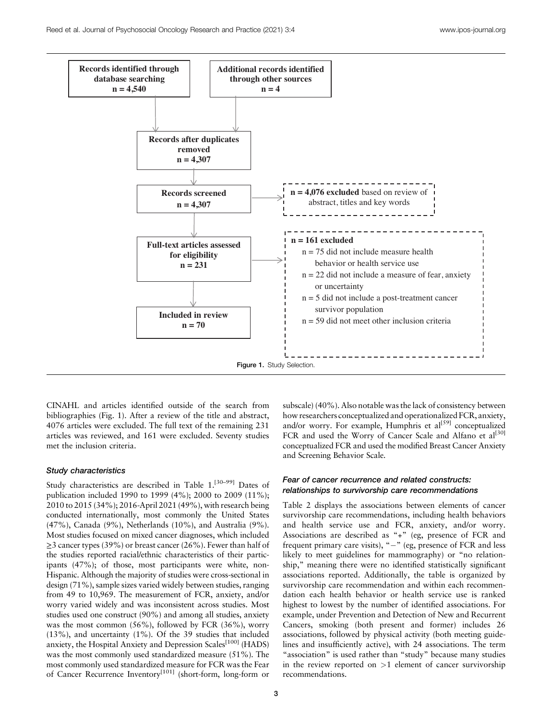

CINAHL and articles identified outside of the search from bibliographies (Fig. 1). After a review of the title and abstract, 4076 articles were excluded. The full text of the remaining 231 articles was reviewed, and 161 were excluded. Seventy studies met the inclusion criteria.

## Study characteristics

Study characteristics are described in Table 1.<sup>[30–99]</sup> Dates of publication included 1990 to 1999 (4%); 2000 to 2009 (11%); 2010 to 2015 (34%); 2016-April 2021 (49%), with research being conducted internationally, most commonly the United States (47%), Canada (9%), Netherlands (10%), and Australia (9%). Most studies focused on mixed cancer diagnoses, which included  $\geq$ 3 cancer types (39%) or breast cancer (26%). Fewer than half of the studies reported racial/ethnic characteristics of their participants (47%); of those, most participants were white, non-Hispanic. Although the majority of studies were cross-sectional in design (71%), sample sizes varied widely between studies, ranging from 49 to 10,969. The measurement of FCR, anxiety, and/or worry varied widely and was inconsistent across studies. Most studies used one construct (90%) and among all studies, anxiety was the most common (56%), followed by FCR (36%), worry (13%), and uncertainty (1%). Of the 39 studies that included anxiety, the Hospital Anxiety and Depression Scales<sup>[100]</sup> (HADS) was the most commonly used standardized measure (51%). The most commonly used standardized measure for FCR was the Fear of Cancer Recurrence Inventory<sup>[101]</sup> (short-form, long-form or subscale) (40%). Also notable was the lack of consistency between how researchers conceptualized and operationalized FCR, anxiety, and/or worry. For example, Humphris et  $al^{[59]}$  conceptualized FCR and used the Worry of Cancer Scale and Alfano et al<sup>[30]</sup> conceptualized FCR and used the modified Breast Cancer Anxiety and Screening Behavior Scale.

## Fear of cancer recurrence and related constructs: relationships to survivorship care recommendations

Table 2 displays the associations between elements of cancer survivorship care recommendations, including health behaviors and health service use and FCR, anxiety, and/or worry. Associations are described as "+" (eg, presence of FCR and frequent primary care visits), "-" (eg, presence of FCR and less likely to meet guidelines for mammography) or "no relationship," meaning there were no identified statistically significant associations reported. Additionally, the table is organized by survivorship care recommendation and within each recommendation each health behavior or health service use is ranked highest to lowest by the number of identified associations. For example, under Prevention and Detection of New and Recurrent Cancers, smoking (both present and former) includes 26 associations, followed by physical activity (both meeting guidelines and insufficiently active), with 24 associations. The term "association" is used rather than "study" because many studies in the review reported on  $>1$  element of cancer survivorship recommendations.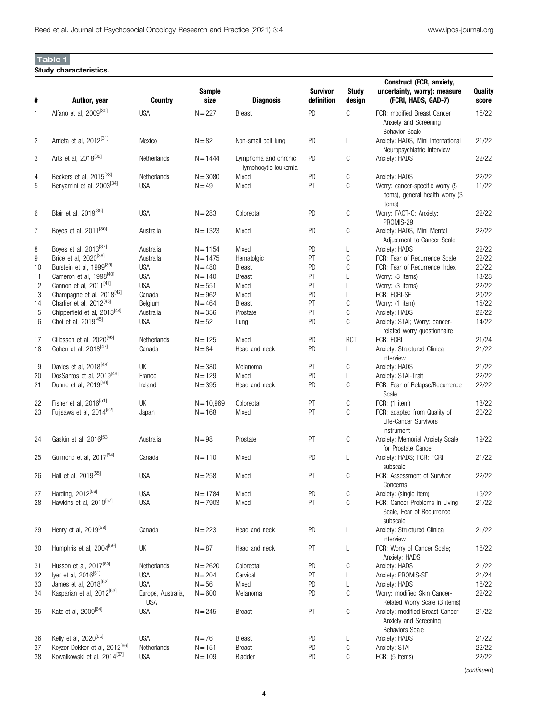## Table 1

## Study characteristics.

|                |                                           |                    | <b>Sample</b> |                                              | <b>Survivor</b> | <b>Study</b> | Construct (FCR, anxiety,<br>uncertainty, worry): measure                           | Quality |
|----------------|-------------------------------------------|--------------------|---------------|----------------------------------------------|-----------------|--------------|------------------------------------------------------------------------------------|---------|
| #              | Author, year                              | Country            | size          | <b>Diagnosis</b>                             | definition      | design       | (FCRI, HADS, GAD-7)                                                                | score   |
| $\mathbf{1}$   | Alfano et al, 2009 <sup>[30]</sup>        | <b>USA</b>         | $N = 227$     | <b>Breast</b>                                | PD              | С            | FCR: modified Breast Cancer<br>Anxiety and Screening<br><b>Behavior Scale</b>      | 15/22   |
| $\overline{c}$ | Arrieta et al, 2012 <sup>[31]</sup>       | Mexico             | $N = 82$      | Non-small cell lung                          | <b>PD</b>       | L            | Anxiety: HADS, Mini International<br>Neuropsychiatric Interview                    | 21/22   |
| 3              | Arts et al, 2018 <sup>[32]</sup>          | Netherlands        | $N = 1444$    | Lymphoma and chronic<br>lymphocytic leukemia | <b>PD</b>       | С            | Anxiety: HADS                                                                      | 22/22   |
| 4              | Beekers et al, 2015 <sup>[33]</sup>       | Netherlands        | $N = 3080$    | Mixed                                        | <b>PD</b>       | С            | Anxiety: HADS                                                                      | 22/22   |
| 5              | Benyamini et al, 2003 <sup>[34]</sup>     | <b>USA</b>         | $N = 49$      | Mixed                                        | PT              | C            | Worry: cancer-specific worry (5<br>items), general health worry (3<br>items)       | 11/22   |
| 6              | Blair et al, 2019 <sup>[35]</sup>         | <b>USA</b>         | $N = 283$     | Colorectal                                   | PD              | С            | Worry: FACT-C; Anxiety:<br>PROMIS-29                                               | 22/22   |
| $\overline{7}$ | Boyes et al, 2011 <sup>[36]</sup>         | Australia          | $N = 1323$    | Mixed                                        | PD              | C            | Anxiety: HADS, Mini Mental<br>Adjustment to Cancer Scale                           | 22/22   |
| 8              | Boyes et al, 2013 <sup>[37]</sup>         | Australia          | $N = 1154$    | Mixed                                        | <b>PD</b>       | L            | Anxiety: HADS                                                                      | 22/22   |
| 9              | Brice et al, 2020 <sup>[38]</sup>         | Austraila          | $N = 1475$    | Hematolgic                                   | PT              | C            | FCR: Fear of Recurrence Scale                                                      | 22/22   |
| 10             | Burstein et al, 1999 <sup>[39]</sup>      | <b>USA</b>         | $N = 480$     | <b>Breast</b>                                | PD              | C            | FCR: Fear of Recurrence Index                                                      | 20/22   |
| 11             | Cameron et al, 1998 <sup>[40]</sup>       | <b>USA</b>         | $N = 140$     | <b>Breast</b>                                | PT              | L            | Worry: (3 items)                                                                   | 13/28   |
| 12             | Cannon et al, 2011 <sup>[41]</sup>        | <b>USA</b>         | $N = 551$     | Mixed                                        | PT              | L            | Worry: (3 items)                                                                   | 22/22   |
| 13             | Champagne et al, 2018 <sup>[42]</sup>     | Canada             | $N = 962$     | Mixed                                        | PD              | L            | FCR: FCRI-SF                                                                       | 20/22   |
| 14             | Charlier et al, 2012 <sup>[43]</sup>      | Belgium            | $N = 464$     | <b>Breast</b>                                | PT              | C            | Worry: (1 item)                                                                    | 15/22   |
| 15             | Chipperfield et al, 2013 <sup>[44]</sup>  | Australia          | $N = 356$     | Prostate                                     | PT              | С            | Anxiety: HADS                                                                      | 22/22   |
| 16             | Choi et al, 2019 <sup>[45]</sup>          | <b>USA</b>         | $N = 52$      | Lung                                         | PD              | C            | Anxiety: STAI; Worry: cancer-<br>related worry questionnaire                       | 14/22   |
| 17             | Cillessen et al, 2020 <sup>[46]</sup>     | Netherlands        | $N = 125$     | Mixed                                        | PD              | <b>RCT</b>   | FCR: FCRI                                                                          | 21/24   |
| 18             | Cohen et al, 2018 <sup>[47]</sup>         | Canada             | $N = 84$      | Head and neck                                | PD              | L            | Anxiety: Structured Clinical<br>Interview                                          | 21/22   |
| 19             | Davies et al, 2018 <sup>[48]</sup>        | UK                 | $N = 380$     | Melanoma                                     | PT              | C            | Anxiety: HADS                                                                      | 21/22   |
| 20             | DosSantos et al, 2019 <sup>[49]</sup>     | France             | $N = 129$     | Mixed                                        | PD              | L            | Anxiety: STAI-Trait                                                                | 22/22   |
| 21             | Dunne et al, 2019 <sup>[50]</sup>         | Ireland            | $N = 395$     | Head and neck                                | PD              | C            | FCR: Fear of Relapse/Recurrence<br>Scale                                           | 22/22   |
| 22             | Fisher et al, 2016 <sup>[51]</sup>        | UK                 | $N = 10,969$  | Colorectal                                   | PT              | С            | FCR: (1 item)                                                                      | 18/22   |
| 23             | Fujisawa et al, 2014 <sup>[52]</sup>      | Japan              | $N = 168$     | Mixed                                        | PT              | C            | FCR: adapted from Quality of<br>Life-Cancer Survivors<br>Instrument                | 20/22   |
| 24             | Gaskin et al, 2016 <sup>[53]</sup>        | Australia          | $N = 98$      | Prostate                                     | PT              | С            | Anxiety: Memorial Anxiety Scale<br>for Prostate Cancer                             | 19/22   |
| 25             | Guimond et al, 2017 <sup>[54]</sup>       | Canada             | $N = 110$     | Mixed                                        | <b>PD</b>       | L            | Anxiety: HADS; FCR: FCRI<br>subscale                                               | 21/22   |
| 26             | Hall et al, 2019 <sup>[55]</sup>          | <b>USA</b>         | $N = 258$     | Mixed                                        | PT              | С            | FCR: Assessment of Survivor<br>Concerns                                            | 22/22   |
| 27             | Harding, 2012 <sup>[56]</sup>             | <b>USA</b>         | $N = 1784$    | Mixed                                        | PD              | C            | Anxiety: (single item)                                                             | 15/22   |
| 28             | Hawkins et al, 2010 <sup>[57]</sup>       | <b>USA</b>         | $N = 7903$    | Mixed                                        | PT              | C            | FCR: Cancer Problems in Living<br>Scale, Fear of Recurrence<br>subscale            | 21/22   |
| 29             | Henry et al, 2019 <sup>[58]</sup>         | Canada             | $N = 223$     | Head and neck                                | PD              | L            | Anxiety: Structured Clinical<br>Interview                                          | 21/22   |
| 30             | Humphris et al. 2004 <sup>[59]</sup>      | UK                 | $N = 87$      | Head and neck                                | PT              | L            | FCR: Worry of Cancer Scale;<br>Anxiety: HADS                                       | 16/22   |
| 31             | Husson et al, 2017 <sup>[60]</sup>        | Netherlands        | $N = 2620$    | Colorectal                                   | PD              | C            | Anxiety: HADS                                                                      | 21/22   |
| 32             | lyer et al, 2016 <sup>[61]</sup>          | <b>USA</b>         | $N = 204$     | Cervical                                     | PT              | L            | Anxiety: PROMIS-SF                                                                 | 21/24   |
| 33             | James et al, 2018 <sup>[62]</sup>         | <b>USA</b>         | $N = 56$      | Mixed                                        | PD              | L            | Anxiety: HADS                                                                      | 16/22   |
| 34             | Kasparian et al, 2012 <sup>[63]</sup>     | Europe, Australia, | $N = 600$     | Melanoma                                     | PD              | C            | Worry: modified Skin Cancer-                                                       | 22/22   |
|                |                                           | <b>USA</b>         |               |                                              |                 |              | Related Worry Scale (3 items)                                                      |         |
| 35             | Katz et al, 2009 <sup>[64]</sup>          | <b>USA</b>         | $N = 245$     | <b>Breast</b>                                | PT              | С            | Anxiety: modified Breast Cancer<br>Anxiety and Screening<br><b>Behaviors Scale</b> | 21/22   |
| 36             | Kelly et al, 2020 <sup>[65]</sup>         | <b>USA</b>         | $N = 76$      | <b>Breast</b>                                | PD              | L            | Anxiety: HADS                                                                      | 21/22   |
| 37             | Keyzer-Dekker et al, 2012 <sup>[66]</sup> | Netherlands        | $N = 151$     | <b>Breast</b>                                | PD              | C            | Anxiety: STAI                                                                      | 22/22   |
| 38             | Kowalkowski et al, 2014 <sup>[67]</sup>   | <b>USA</b>         | $N = 109$     | Bladder                                      | PD              | C            | FCR: (5 items)                                                                     | 22/22   |

(continued )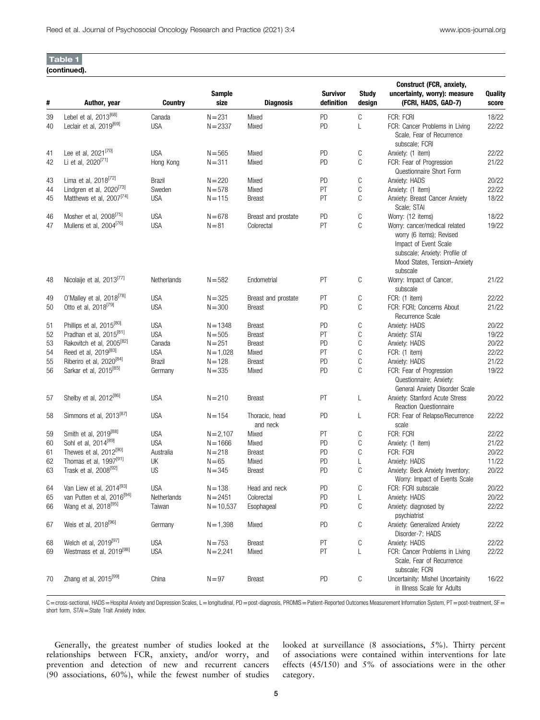| (continued). |
|--------------|
|--------------|

|    |                                        |                |                |                            |                               |                        | Construct (FCR, anxiety,                                                                                                                                        |                  |
|----|----------------------------------------|----------------|----------------|----------------------------|-------------------------------|------------------------|-----------------------------------------------------------------------------------------------------------------------------------------------------------------|------------------|
| #  | Author, year                           | <b>Country</b> | Sample<br>size | <b>Diagnosis</b>           | <b>Survivor</b><br>definition | <b>Study</b><br>design | uncertainty, worry): measure<br>(FCRI, HADS, GAD-7)                                                                                                             | Quality<br>score |
| 39 | Lebel et al, 2013 <sup>[68]</sup>      | Canada         | $N = 231$      | Mixed                      | PD                            | С                      | FCR: FCRI                                                                                                                                                       | 18/22            |
| 40 | Leclair et al, 2019 <sup>[69]</sup>    | <b>USA</b>     | $N = 2337$     | Mixed                      | PD                            | L                      | FCR: Cancer Problems in Living<br>Scale, Fear of Recurrence<br>subscale; FCRI                                                                                   | 22/22            |
| 41 | Lee et al, 2021 <sup>[70]</sup>        | <b>USA</b>     | $N = 565$      | Mixed                      | PD                            | С                      | Anxiety: (1 item)                                                                                                                                               | 22/22            |
| 42 | Li et al, 2020 <sup>[71]</sup>         | Hong Kong      | $N = 311$      | Mixed                      | PD                            | C                      | FCR: Fear of Progression<br>Questionnaire Short Form                                                                                                            | 21/22            |
| 43 | Lima et al, 2018 <sup>[72]</sup>       | Brazil         | $N = 220$      | Mixed                      | PD                            | С                      | Anxiety: HADS                                                                                                                                                   | 20/22            |
| 44 | Lindgren et al, 2020 <sup>[73]</sup>   | Sweden         | $N = 578$      | Mixed                      | PT                            | C                      | Anxiety: (1 item)                                                                                                                                               | 22/22            |
| 45 | Matthews et al, 2007 <sup>[74]</sup>   | <b>USA</b>     | $N = 115$      | <b>Breast</b>              | PT                            | C                      | Anxiety: Breast Cancer Anxiety<br>Scale; STAI                                                                                                                   | 18/22            |
| 46 | Mosher et al, 2008 <sup>[75]</sup>     | <b>USA</b>     | $N = 678$      | Breast and prostate        | PD                            | C                      | Worry: (12 items)                                                                                                                                               | 18/22            |
| 47 | Mullens et al, 2004 <sup>[76]</sup>    | <b>USA</b>     | $N = 81$       | Colorectal                 | PT                            | C                      | Worry: cancer/medical related<br>worry (6 items); Revised<br>Impact of Event Scale<br>subscale; Anxiety: Profile of<br>Mood States, Tension-Anxiety<br>subscale | 19/22            |
| 48 | Nicolaije et al, 2013 <sup>[77]</sup>  | Netherlands    | $N = 582$      | Endometrial                | PT                            | С                      | Worry: Impact of Cancer,<br>subscale                                                                                                                            | 21/22            |
| 49 | 0'Malley et al, 2018 <sup>[78]</sup>   | <b>USA</b>     | $N = 325$      | Breast and prostate        | PT                            | C                      | FCR: (1 item)                                                                                                                                                   | 22/22            |
| 50 | Otto et al, 2018 <sup>[79]</sup>       | <b>USA</b>     | $N = 300$      | <b>Breast</b>              | PD                            | C                      | FCR: FCRI; Concerns About<br>Recurrence Scale                                                                                                                   | 21/22            |
| 51 | Phillips et al, 2015 <sup>[80]</sup>   | <b>USA</b>     | $N = 1348$     | <b>Breast</b>              | PD                            | С                      | Anxiety: HADS                                                                                                                                                   | 20/22            |
| 52 | Pradhan et al, 2015 <sup>[81]</sup>    | <b>USA</b>     | $N = 505$      | <b>Breast</b>              | PT                            | C                      | Anxiety: STAI                                                                                                                                                   | 19/22            |
| 53 | Rakovitch et al, 2005 <sup>[82]</sup>  | Canada         | $N = 251$      | <b>Breast</b>              | PD                            | C                      | Anxiety: HADS                                                                                                                                                   | 20/22            |
| 54 | Reed et al, 2019 <sup>[83]</sup>       | <b>USA</b>     | $N = 1,028$    | Mixed                      | PT                            | C                      | FCR: (1 item)                                                                                                                                                   | 22/22            |
| 55 | Riberiro et al, 2020 <sup>[84]</sup>   | Brazil         | $N = 128$      | <b>Breast</b>              | PD                            | C                      | Anxiety: HADS                                                                                                                                                   | 21/22            |
| 56 | Sarkar et al, 2015 <sup>[85]</sup>     | Germany        | $N = 335$      | Mixed                      | PD                            | C                      | FCR: Fear of Progression<br>Questionnaire; Anxiety:<br>General Anxiety Disorder Scale                                                                           | 19/22            |
| 57 | Shelby et al, 2012 <sup>[86]</sup>     | <b>USA</b>     | $N = 210$      | <b>Breast</b>              | PT                            | L                      | Anxiety: Stanford Acute Stress<br>Reaction Questionnaire                                                                                                        | 20/22            |
| 58 | Simmons et al, 2013 <sup>[87]</sup>    | <b>USA</b>     | $N = 154$      | Thoracic, head<br>and neck | PD                            | L                      | FCR: Fear of Relapse/Recurrence<br>scale                                                                                                                        | 22/22            |
| 59 | Smith et al, 2019 <sup>[88]</sup>      | <b>USA</b>     | $N = 2,107$    | Mixed                      | PT                            | С                      | FCR: FCRI                                                                                                                                                       | 22/22            |
| 60 | Sohl et al, 2014 <sup>[89]</sup>       | <b>USA</b>     | $N = 1666$     | Mixed                      | PD                            | С                      | Anxiety: (1 item)                                                                                                                                               | 21/22            |
| 61 | Thewes et al, 2012 <sup>[90]</sup>     | Australia      | $N = 218$      | <b>Breast</b>              | PD                            | C                      | FCR: FCRI                                                                                                                                                       | 20/22            |
| 62 | Thomas et al, 1997 <sup>[91]</sup>     | UK             | $N = 65$       | Mixed                      | PD                            | L                      | Anxiety: HADS                                                                                                                                                   | 11/22            |
| 63 | Trask et al, 2008 <sup>[92]</sup>      | <b>US</b>      | $N = 345$      | <b>Breast</b>              | PD                            | C                      | Anxiety: Beck Anxiety Inventory;<br>Worry: Impact of Events Scale                                                                                               | 20/22            |
| 64 | Van Liew et al, 2014 <sup>[93]</sup>   | <b>USA</b>     | $N = 138$      | Head and neck              | PD                            | C                      | FCR: FCRI subscale                                                                                                                                              | 20/22            |
| 65 | van Putten et al, 2016 <sup>[94]</sup> | Netherlands    | $N = 2451$     | Colorectal                 | PD                            | L                      | Anxiety: HADS                                                                                                                                                   | 20/22            |
| 66 | Wang et al, 2018 <sup>[95]</sup>       | Taiwan         | $N = 10,537$   | Esophageal                 | PD                            | C                      | Anxiety: diagnosed by<br>psychiatrist                                                                                                                           | 22/22            |
| 67 | Weis et al, 2018 <sup>[96]</sup>       | Germany        | $N = 1,398$    | Mixed                      | PD                            | С                      | Anxiety: Generalized Anxiety<br>Disorder-7; HADS                                                                                                                | 22/22            |
| 68 | Welch et al, 2019 <sup>[97]</sup>      | <b>USA</b>     | $N = 753$      | <b>Breast</b>              | РT                            | С                      | Anxiety: HADS                                                                                                                                                   | 22/22            |
| 69 | Westmass et al, 2019 <sup>[98]</sup>   | <b>USA</b>     | $N = 2,241$    | Mixed                      | PT                            |                        | FCR: Cancer Problems in Living<br>Scale, Fear of Recurrence<br>subscale; FCRI                                                                                   | 22/22            |
| 70 | Zhang et al, 2015 <sup>[99]</sup>      | China          | $N = 97$       | <b>Breast</b>              | PD                            | С                      | Uncertainity: Mishel Uncertainity<br>in Illness Scale for Adults                                                                                                | 16/22            |

C=cross-sectional, HADS=Hospital Anxiety and Depression Scales, L=longitudinal, PD=post-diagnosis, PROMIS=Patient-Reported Outcomes Measurement Information System, PT=post-treatment, SF= short form, STAI=State Trait Anxiety Index.

Generally, the greatest number of studies looked at the relationships between FCR, anxiety, and/or worry, and prevention and detection of new and recurrent cancers (90 associations, 60%), while the fewest number of studies looked at surveillance (8 associations, 5%). Thirty percent of associations were contained within interventions for late effects (45/150) and 5% of associations were in the other category.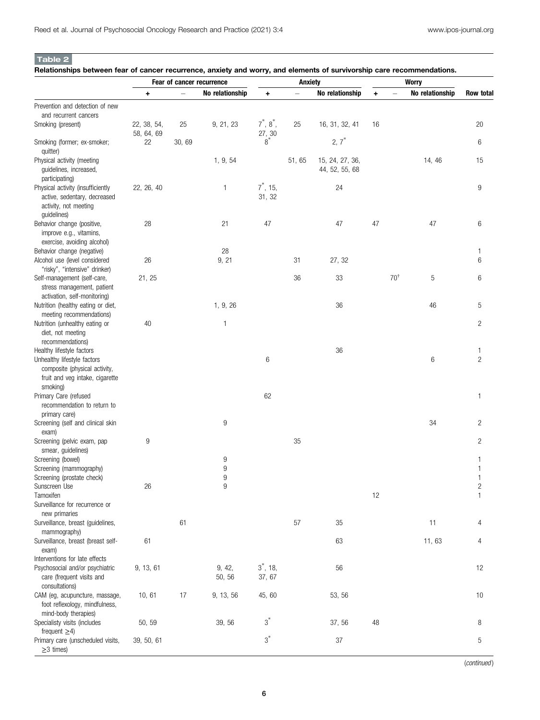Table 2

Relationships between fear of cancer recurrence, anxiety and worry, and elements of survivorship care recommendations.

|                                                         |             |       | Fear of cancer recurrence |                     | <b>Anxiety</b> |                 |           |                |                 |                |
|---------------------------------------------------------|-------------|-------|---------------------------|---------------------|----------------|-----------------|-----------|----------------|-----------------|----------------|
|                                                         | ٠           |       | No relationship           | ٠                   |                | No relationship | $\ddot{}$ |                | No relationship | Row total      |
| Prevention and detection of new                         |             |       |                           |                     |                |                 |           |                |                 |                |
| and recurrent cancers                                   |             |       |                           |                     |                |                 |           |                |                 |                |
| Smoking (present)                                       | 22, 38, 54, | 25    | 9, 21, 23                 | $7^*$ , $8^*$ ,     | 25             | 16, 31, 32, 41  | 16        |                |                 | 20             |
|                                                         | 58, 64, 69  |       |                           | $\frac{27}{8}^{30}$ |                | $2, 7^*$        |           |                |                 |                |
| Smoking (former; ex-smoker;                             | 22          | 30,69 |                           |                     |                |                 |           |                |                 | 6              |
| quitter)                                                |             |       |                           |                     |                |                 |           |                |                 |                |
| Physical activity (meeting                              |             |       | 1, 9, 54                  |                     | 51,65          | 15, 24, 27, 36, |           |                | 14, 46          | 15             |
| guidelines, increased,<br>participating)                |             |       |                           |                     |                | 44, 52, 55, 68  |           |                |                 |                |
| Physical activity (insufficiently                       | 22, 26, 40  |       | 1                         | $7^*$ , 15,         |                | 24              |           |                |                 | 9              |
| active, sedentary, decreased                            |             |       |                           | 31, 32              |                |                 |           |                |                 |                |
| activity, not meeting                                   |             |       |                           |                     |                |                 |           |                |                 |                |
| guidelines)                                             |             |       |                           |                     |                |                 |           |                |                 |                |
| Behavior change (positive,                              | 28          |       | 21                        | 47                  |                | 47              | 47        |                | 47              | 6              |
| improve e.g., vitamins,                                 |             |       |                           |                     |                |                 |           |                |                 |                |
| exercise, avoiding alcohol)                             |             |       |                           |                     |                |                 |           |                |                 |                |
| Behavior change (negative)                              |             |       | 28                        |                     |                |                 |           |                |                 | 1              |
| Alcohol use (level considered                           | 26          |       | 9, 21                     |                     | 31             | 27, 32          |           |                |                 | 6              |
| "risky", "intensive" drinker)                           |             |       |                           |                     |                |                 |           |                |                 |                |
| Self-management (self-care,                             | 21, 25      |       |                           |                     | 36             | 33              |           | $70^{\dagger}$ | 5               | 6              |
| stress management, patient                              |             |       |                           |                     |                |                 |           |                |                 |                |
| activation, self-monitoring)                            |             |       |                           |                     |                |                 |           |                |                 |                |
| Nutrition (healthy eating or diet,                      |             |       | 1, 9, 26                  |                     |                | 36              |           |                | 46              | 5              |
| meeting recommendations)                                |             |       |                           |                     |                |                 |           |                |                 |                |
| Nutrition (unhealthy eating or                          | 40          |       | 1                         |                     |                |                 |           |                |                 | $\overline{c}$ |
| diet, not meeting                                       |             |       |                           |                     |                |                 |           |                |                 |                |
| recommendations)                                        |             |       |                           |                     |                |                 |           |                |                 |                |
| Healthy lifestyle factors                               |             |       |                           |                     |                | 36              |           |                |                 | 1              |
| Unhealthy lifestyle factors                             |             |       |                           | 6                   |                |                 |           |                | 6               | $\overline{c}$ |
| composite (physical activity,                           |             |       |                           |                     |                |                 |           |                |                 |                |
| fruit and veg intake, cigarette                         |             |       |                           |                     |                |                 |           |                |                 |                |
| smoking)                                                |             |       |                           |                     |                |                 |           |                |                 |                |
| Primary Care (refused                                   |             |       |                           | 62                  |                |                 |           |                |                 | 1              |
| recommendation to return to                             |             |       |                           |                     |                |                 |           |                |                 |                |
| primary care)                                           |             |       |                           |                     |                |                 |           |                |                 |                |
| Screening (self and clinical skin                       |             |       | 9                         |                     |                |                 |           |                | 34              | $\overline{c}$ |
| exam)                                                   |             |       |                           |                     |                |                 |           |                |                 |                |
| Screening (pelvic exam, pap                             | 9           |       |                           |                     | 35             |                 |           |                |                 | $\overline{c}$ |
| smear, guidelines)                                      |             |       |                           |                     |                |                 |           |                |                 |                |
| Screening (bowel)                                       |             |       | 9                         |                     |                |                 |           |                |                 | 1              |
| Screening (mammography)                                 |             |       | 9                         |                     |                |                 |           |                |                 |                |
| Screening (prostate check)                              |             |       | 9                         |                     |                |                 |           |                |                 | 1              |
| Sunscreen Use                                           | 26          |       | 9                         |                     |                |                 |           |                |                 | 2              |
| Tamoxifen                                               |             |       |                           |                     |                |                 | 12        |                |                 | 1              |
| Surveillance for recurrence or                          |             |       |                           |                     |                |                 |           |                |                 |                |
| new primaries                                           |             |       |                           |                     |                |                 |           |                |                 |                |
| Surveillance, breast (guidelines,                       |             | 61    |                           |                     | 57             | 35              |           |                | 11              | 4              |
| mammography)                                            |             |       |                           |                     |                |                 |           |                |                 |                |
| Surveillance, breast (breast self-                      | 61          |       |                           |                     |                | 63              |           |                | 11,63           | 4              |
| exam)                                                   |             |       |                           |                     |                |                 |           |                |                 |                |
| Interventions for late effects                          |             |       |                           |                     |                |                 |           |                |                 |                |
| Psychosocial and/or psychiatric                         | 9, 13, 61   |       | 9, 42,                    | $3^*$ , 18,         |                | 56              |           |                |                 | 12             |
| care (frequent visits and                               |             |       | 50, 56                    | 37, 67              |                |                 |           |                |                 |                |
| consultations)                                          |             |       |                           |                     |                |                 |           |                |                 |                |
| CAM (eg, acupuncture, massage,                          | 10, 61      | 17    | 9, 13, 56                 | 45, 60              |                | 53, 56          |           |                |                 | 10             |
| foot reflexology, mindfulness,                          |             |       |                           |                     |                |                 |           |                |                 |                |
| mind-body therapies)                                    |             |       |                           | $3^*$               |                |                 |           |                |                 |                |
| Specialisty visits (includes                            | 50, 59      |       | 39, 56                    |                     |                | 37, 56          | 48        |                |                 | 8              |
| frequent $\geq$ 4)<br>Primary care (unscheduled visits, | 39, 50, 61  |       |                           | $3^*$               |                | 37              |           |                |                 | 5              |
| $\geq$ 3 times)                                         |             |       |                           |                     |                |                 |           |                |                 |                |
|                                                         |             |       |                           |                     |                |                 |           |                |                 |                |

(continued )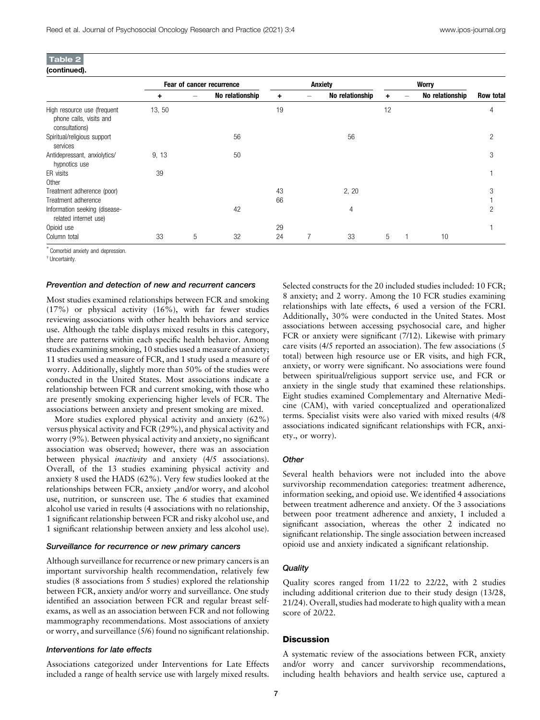| (continued). |  |
|--------------|--|

|                                                                          |        | Fear of cancer recurrence |                 |    | Anxiety |                 |    |  | <b>Worry</b>    |           |  |
|--------------------------------------------------------------------------|--------|---------------------------|-----------------|----|---------|-----------------|----|--|-----------------|-----------|--|
|                                                                          | ٠      |                           | No relationship | ٠  |         | No relationship |    |  | No relationship | Row total |  |
| High resource use (frequent<br>phone calls, visits and<br>consultations) | 13, 50 |                           |                 | 19 |         |                 | 12 |  |                 | 4         |  |
| Spiritual/religious support<br>services                                  |        |                           | 56              |    |         | 56              |    |  |                 | 2         |  |
| Antidepressant, anxiolytics/<br>hypnotics use                            | 9, 13  |                           | 50              |    |         |                 |    |  |                 | 3         |  |
| ER visits<br>Other                                                       | 39     |                           |                 |    |         |                 |    |  |                 |           |  |
| Treatment adherence (poor)                                               |        |                           |                 | 43 |         | 2, 20           |    |  |                 | 3         |  |
| Treatment adherence                                                      |        |                           |                 | 66 |         |                 |    |  |                 |           |  |
| Information seeking (disease-<br>related internet use)                   |        |                           | 42              |    |         | 4               |    |  |                 | 2         |  |
| Opioid use                                                               |        |                           |                 | 29 |         |                 |    |  |                 |           |  |
| Column total                                                             | 33     | 5                         | 32              | 24 |         | 33              | 5  |  | 10              |           |  |

∗ Comorbid anxiety and depression.

† Uncertainty.

#### Prevention and detection of new and recurrent cancers

Most studies examined relationships between FCR and smoking (17%) or physical activity (16%), with far fewer studies reviewing associations with other health behaviors and service use. Although the table displays mixed results in this category, there are patterns within each specific health behavior. Among studies examining smoking, 10 studies used a measure of anxiety; 11 studies used a measure of FCR, and 1 study used a measure of worry. Additionally, slightly more than 50% of the studies were conducted in the United States. Most associations indicate a relationship between FCR and current smoking, with those who are presently smoking experiencing higher levels of FCR. The associations between anxiety and present smoking are mixed.

More studies explored physical activity and anxiety (62%) versus physical activity and FCR (29%), and physical activity and worry (9%). Between physical activity and anxiety, no significant association was observed; however, there was an association between physical *inactivity* and anxiety (4/5 associations). Overall, of the 13 studies examining physical activity and anxiety 8 used the HADS (62%). Very few studies looked at the relationships between FCR, anxiety ,and/or worry, and alcohol use, nutrition, or sunscreen use. The 6 studies that examined alcohol use varied in results (4 associations with no relationship, 1 significant relationship between FCR and risky alcohol use, and 1 significant relationship between anxiety and less alcohol use).

#### Surveillance for recurrence or new primary cancers

Although surveillance for recurrence or new primary cancers is an important survivorship health recommendation, relatively few studies (8 associations from 5 studies) explored the relationship between FCR, anxiety and/or worry and surveillance. One study identified an association between FCR and regular breast selfexams, as well as an association between FCR and not following mammography recommendations. Most associations of anxiety or worry, and surveillance (5/6) found no significant relationship.

#### Interventions for late effects

Associations categorized under Interventions for Late Effects included a range of health service use with largely mixed results. Selected constructs for the 20 included studies included: 10 FCR; 8 anxiety; and 2 worry. Among the 10 FCR studies examining relationships with late effects, 6 used a version of the FCRI. Additionally, 30% were conducted in the United States. Most associations between accessing psychosocial care, and higher FCR or anxiety were significant (7/12). Likewise with primary care visits (4/5 reported an association). The few associations (5 total) between high resource use or ER visits, and high FCR, anxiety, or worry were significant. No associations were found between spiritual/religious support service use, and FCR or anxiety in the single study that examined these relationships. Eight studies examined Complementary and Alternative Medicine (CAM), with varied conceptualized and operationalized terms. Specialist visits were also varied with mixed results (4/8 associations indicated significant relationships with FCR, anxiety., or worry).

## **Other**

Several health behaviors were not included into the above survivorship recommendation categories: treatment adherence, information seeking, and opioid use. We identified 4 associations between treatment adherence and anxiety. Of the 3 associations between poor treatment adherence and anxiety, 1 included a significant association, whereas the other 2 indicated no significant relationship. The single association between increased opioid use and anxiety indicated a significant relationship.

## **Quality**

Quality scores ranged from 11/22 to 22/22, with 2 studies including additional criterion due to their study design (13/28, 21/24). Overall, studies had moderate to high quality with a mean score of 20/22.

## **Discussion**

A systematic review of the associations between FCR, anxiety and/or worry and cancer survivorship recommendations, including health behaviors and health service use, captured a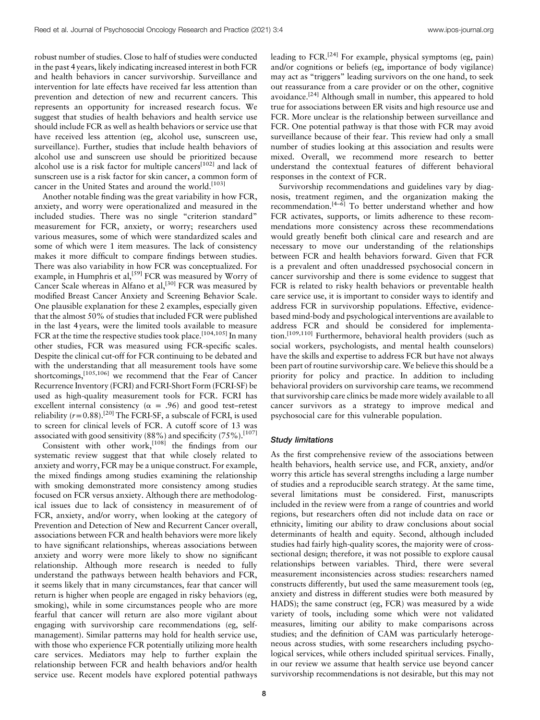robust number of studies. Close to half of studies were conducted in the past 4 years, likely indicating increased interest in both FCR and health behaviors in cancer survivorship. Surveillance and intervention for late effects have received far less attention than prevention and detection of new and recurrent cancers. This represents an opportunity for increased research focus. We suggest that studies of health behaviors and health service use should include FCR as well as health behaviors or service use that have received less attention (eg, alcohol use, sunscreen use, surveillance). Further, studies that include health behaviors of alcohol use and sunscreen use should be prioritized because alcohol use is a risk factor for multiple cancers<sup>[102]</sup> and lack of sunscreen use is a risk factor for skin cancer, a common form of cancer in the United States and around the world.<sup>[103]</sup>

Another notable finding was the great variability in how FCR, anxiety, and worry were operationalized and measured in the included studies. There was no single "criterion standard" measurement for FCR, anxiety, or worry; researchers used various measures, some of which were standardized scales and some of which were 1 item measures. The lack of consistency makes it more difficult to compare findings between studies. There was also variability in how FCR was conceptualized. For example, in Humphris et al,<sup>[59]</sup> FCR was measured by Worry of Cancer Scale whereas in Alfano et al,  $^{[30]}$  FCR was measured by modified Breast Cancer Anxiety and Screening Behavior Scale. One plausible explanation for these 2 examples, especially given that the almost 50% of studies that included FCR were published in the last 4 years, were the limited tools available to measure FCR at the time the respective studies took place.<sup>[104,105]</sup> In many other studies, FCR was measured using FCR-specific scales. Despite the clinical cut-off for FCR continuing to be debated and with the understanding that all measurement tools have some shortcomings,<sup>[105,106]</sup> we recommend that the Fear of Cancer Recurrence Inventory (FCRI) and FCRI-Short Form (FCRI-SF) be used as high-quality measurement tools for FCR. FCRI has excellent internal consistency ( $\alpha$  = .96) and good test–retest reliability ( $r=0.88$ ).<sup>[20]</sup> The FCRI-SF, a subscale of FCRI, is used to screen for clinical levels of FCR. A cutoff score of 13 was associated with good sensitivity (88%) and specificity (75%).<sup>[107]</sup>

Consistent with other work,<sup>[108]</sup> the findings from our systematic review suggest that that while closely related to anxiety and worry, FCR may be a unique construct. For example, the mixed findings among studies examining the relationship with smoking demonstrated more consistency among studies focused on FCR versus anxiety. Although there are methodological issues due to lack of consistency in measurement of of FCR, anxiety, and/or worry, when looking at the category of Prevention and Detection of New and Recurrent Cancer overall, associations between FCR and health behaviors were more likely to have significant relationships, whereas associations between anxiety and worry were more likely to show no significant relationship. Although more research is needed to fully understand the pathways between health behaviors and FCR, it seems likely that in many circumstances, fear that cancer will return is higher when people are engaged in risky behaviors (eg, smoking), while in some circumstances people who are more fearful that cancer will return are also more vigilant about engaging with survivorship care recommendations (eg, selfmanagement). Similar patterns may hold for health service use, with those who experience FCR potentially utilizing more health care services. Mediators may help to further explain the relationship between FCR and health behaviors and/or health service use. Recent models have explored potential pathways leading to  $FCR$ .<sup>[24]</sup> For example, physical symptoms (eg, pain) and/or cognitions or beliefs (eg, importance of body vigilance) may act as "triggers" leading survivors on the one hand, to seek out reassurance from a care provider or on the other, cognitive avoidance.<sup>[24]</sup> Although small in number, this appeared to hold true for associations between ER visits and high resource use and FCR. More unclear is the relationship between surveillance and FCR. One potential pathway is that those with FCR may avoid surveillance because of their fear. This review had only a small number of studies looking at this association and results were mixed. Overall, we recommend more research to better understand the contextual features of different behavioral responses in the context of FCR.

Survivorship recommendations and guidelines vary by diagnosis, treatment regimen, and the organization making the recommendation. $[4-6]$  To better understand whether and how FCR activates, supports, or limits adherence to these recommendations more consistency across these recommendations would greatly benefit both clinical care and research and are necessary to move our understanding of the relationships between FCR and health behaviors forward. Given that FCR is a prevalent and often unaddressed psychosocial concern in cancer survivorship and there is some evidence to suggest that FCR is related to risky health behaviors or preventable health care service use, it is important to consider ways to identify and address FCR in survivorship populations. Effective, evidencebased mind-body and psychological interventions are available to address FCR and should be considered for implementation.[109,110] Furthermore, behavioral health providers (such as social workers, psychologists, and mental health counselors) have the skills and expertise to address FCR but have not always been part of routine survivorship care. We believe this should be a priority for policy and practice. In addition to including behavioral providers on survivorship care teams, we recommend that survivorship care clinics be made more widely available to all cancer survivors as a strategy to improve medical and psychosocial care for this vulnerable population.

## Study limitations

As the first comprehensive review of the associations between health behaviors, health service use, and FCR, anxiety, and/or worry this article has several strengths including a large number of studies and a reproducible search strategy. At the same time, several limitations must be considered. First, manuscripts included in the review were from a range of countries and world regions, but researchers often did not include data on race or ethnicity, limiting our ability to draw conclusions about social determinants of health and equity. Second, although included studies had fairly high-quality scores, the majority were of crosssectional design; therefore, it was not possible to explore causal relationships between variables. Third, there were several measurement inconsistencies across studies: researchers named constructs differently, but used the same measurement tools (eg, anxiety and distress in different studies were both measured by HADS); the same construct (eg, FCR) was measured by a wide variety of tools, including some which were not validated measures, limiting our ability to make comparisons across studies; and the definition of CAM was particularly heterogeneous across studies, with some researchers including psychological services, while others included spiritual services. Finally, in our review we assume that health service use beyond cancer survivorship recommendations is not desirable, but this may not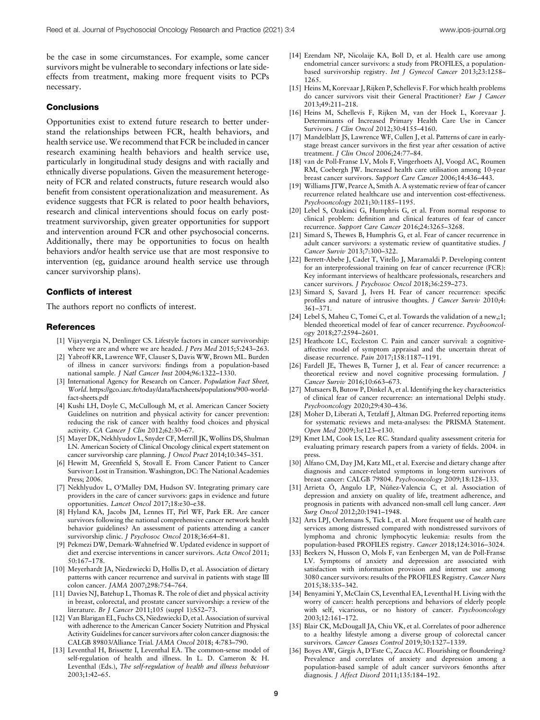be the case in some circumstances. For example, some cancer survivors might be vulnerable to secondary infections or late sideeffects from treatment, making more frequent visits to PCPs necessary.

#### **Conclusions**

Opportunities exist to extend future research to better understand the relationships between FCR, health behaviors, and health service use. We recommend that FCR be included in cancer research examining health behaviors and health service use, particularly in longitudinal study designs and with racially and ethnically diverse populations. Given the measurement heterogeneity of FCR and related constructs, future research would also benefit from consistent operationalization and measurement. As evidence suggests that FCR is related to poor health behaviors, research and clinical interventions should focus on early posttreatment survivorship, given greater opportunities for support and intervention around FCR and other psychosocial concerns. Additionally, there may be opportunities to focus on health behaviors and/or health service use that are most responsive to intervention (eg, guidance around health service use through cancer survivorship plans).

#### Conflicts of interest

The authors report no conflicts of interest.

#### References

- [1] Vijayvergia N, Denlinger CS. Lifestyle factors in cancer survivorship: where we are and where we are headed. *I Pers Med* 2015:5:243–263.
- [2] Yabroff KR, Lawrence WF, Clauser S, Davis WW, Brown ML. Burden of illness in cancer survivors: findings from a population-based national sample. J Natl Cancer Inst 2004;96:1322–1330.
- [3] International Agency for Research on Cancer. Population Fact Sheet, World. [https://gco.iarc.fr/today/data/factsheets/populations/900-world](https://gco.iarc.fr/today/data/factsheets/populations/900-world-fact-sheets.pdf)[fact-sheets.pdf](https://gco.iarc.fr/today/data/factsheets/populations/900-world-fact-sheets.pdf)
- [4] Kushi LH, Doyle C, McCullough M, et al. American Cancer Society Guidelines on nutrition and physical activity for cancer prevention: reducing the risk of cancer with healthy food choices and physical activity. CA Cancer J Clin 2012;62:30–67.
- [5] Mayer DK, Nekhlyudov L, Snyder CF, Merrill JK, Wollins DS, Shulman LN. American Society of Clinical Oncology clinical expert statement on cancer survivorship care planning. J Oncol Pract 2014;10:345-351.
- [6] Hewitt M, Greenfield S, Stovall E. From Cancer Patient to Cancer Survivor: Lost in Transition. Washington, DC: The National Academies Press; 2006.
- [7] Nekhlyudov L, O'Malley DM, Hudson SV. Integrating primary care providers in the care of cancer survivors: gaps in evidence and future opportunities. Lancet Oncol 2017;18:e30-e38.
- [8] Hyland KA, Jacobs JM, Lennes IT, Pirl WF, Park ER. Are cancer survivors following the national comprehensive cancer network health behavior guidelines? An assessment of patients attending a cancer survivorship clinic. J Psychosoc Oncol 2018;36:64–81.
- [9] Pekmezi DW, Demark-Wahnefried W. Updated evidence in support of diet and exercise interventions in cancer survivors. Acta Oncol 2011; 50:167–178.
- [10] Meyerhardt JA, Niedzwiecki D, Hollis D, et al. Association of dietary patterns with cancer recurrence and survival in patients with stage III colon cancer. JAMA 2007;298:754–764.
- [11] Davies NJ, Batehup L, Thomas R. The role of diet and physical activity in breast, colorectal, and prostate cancer survivorship: a review of the literature. Br J Cancer 2011;105 (suppl 1):S52–73.
- [12] Van Blarigan EL, Fuchs CS, Niedzwiecki D, et al. Association of survival with adherence to the American Cancer Society Nutrition and Physical Activity Guidelines for cancer survivors after colon cancer diagnosis: the CALGB 89803/Alliance Trial. JAMA Oncol 2018; 4:783–790.
- [13] Leventhal H, Brissette I, Leventhal EA. The common-sense model of self-regulation of health and illness. In L. D. Cameron & H. Leventhal (Eds.), The self-regulation of health and illness behaviour 2003;1:42–65.
- [14] Ezendam NP, Nicolaije KA, Boll D, et al. Health care use among endometrial cancer survivors: a study from PROFILES, a populationbased survivorship registry. Int J Gynecol Cancer 2013;23:1258– 1265.
- [15] Heins M, Korevaar J, Rijken P, Schellevis F. For which health problems do cancer survivors visit their General Practitioner? Eur J Cancer 2013;49:211–218.
- [16] Heins M, Schellevis F, Rijken M, van der Hoek L, Korevaar J. Determinants of Increased Primary Health Care Use in Cancer Survivors. J Clin Oncol 2012;30:4155–4160.
- [17] Mandelblatt JS, Lawrence WF, Cullen J, et al. Patterns of care in earlystage breast cancer survivors in the first year after cessation of active treatment. J Clin Oncol 2006;24:77–84.
- [18] van de Poll-Franse LV, Mols F, Vingerhoets AJ, Voogd AC, Roumen RM, Coebergh JW. Increased health care utilisation among 10-year breast cancer survivors. Support Care Cancer 2006;14:436–443.
- [19] Williams JTW, Pearce A, Smith A. A systematic review of fear of cancer recurrence related healthcare use and intervention cost-effectiveness. Psychooncology 2021;30:1185–1195.
- [20] Lebel S, Ozakinci G, Humphris G, et al. From normal response to clinical problem: definition and clinical features of fear of cancer recurrence. Support Care Cancer 2016;24:3265–3268.
- [21] Simard S, Thewes B, Humphris G, et al. Fear of cancer recurrence in adult cancer survivors: a systematic review of quantitative studies. J Cancer Surviv 2013;7:300–322.
- [22] Berrett-Abebe J, Cadet T, Vitello J, Maramaldi P. Developing content for an interprofessional training on fear of cancer recurrence (FCR): Key informant interviews of healthcare professionals, researchers and cancer survivors. J Psychosoc Oncol 2018;36:259–273.
- [23] Simard S, Savard J, Ivers H. Fear of cancer recurrence: specific profiles and nature of intrusive thoughts. J Cancer Surviv 2010;4: 361–371.
- [24] Lebel S, Maheu C, Tomei C, et al. Towards the validation of a new,;1; blended theoretical model of fear of cancer recurrence. Psychooncology 2018;27:2594–2601.
- [25] Heathcote LC, Eccleston C. Pain and cancer survival: a cognitiveaffective model of symptom appraisal and the uncertain threat of disease recurrence. Pain 2017;158:1187–1191.
- [26] Fardell JE, Thewes B, Turner J, et al. Fear of cancer recurrence: a theoretical review and novel cognitive processing formulation. J Cancer Surviv 2016;10:663–673.
- [27] Mutsaers B, Butow P, Dinkel A, et al. Identifying the key characteristics of clinical fear of cancer recurrence: an international Delphi study. Psychooncology 2020;29:430–436.
- [28] Moher D, Liberati A, Tetzlaff J, Altman DG. Preferred reporting items for systematic reviews and meta-analyses: the PRISMA Statement. Open Med 2009;3:e123–e130.
- [29] Kmet LM, Cook LS, Lee RC. Standard quality assessment criteria for evaluating primary research papers from a variety of fields. 2004. in press.
- [30] Alfano CM, Day JM, Katz ML, et al. Exercise and dietary change after diagnosis and cancer-related symptoms in long-term survivors of breast cancer: CALGB 79804. Psychooncology 2009;18:128–133.
- [31] Arrieta Ó, Angulo LP, Nuñez-Valencia C, et al. Association of depression and anxiety on quality of life, treatment adherence, and prognosis in patients with advanced non-small cell lung cancer. Ann Surg Oncol 2012;20:1941–1948.
- [32] Arts LPJ, Oerlemans S, Tick L, et al. More frequent use of health care services among distressed compared with nondistressed survivors of lymphoma and chronic lymphocytic leukemia: results from the population-based PROFILES registry. Cancer 2018;124:3016–3024.
- [33] Beekers N, Husson O, Mols F, van Eenbergen M, van de Poll-Franse LV. Symptoms of anxiety and depression are associated with satisfaction with information provision and internet use among 3080 cancer survivors: results of the PROFILES Registry. Cancer Nurs 2015;38:335–342.
- [34] Benyamini Y, McClain CS, Leventhal EA, Leventhal H. Living with the worry of cancer: health perceptions and behaviors of elderly people with self, vicarious, or no history of cancer. Psychooncology 2003;12:161–172.
- [35] Blair CK, McDougall JA, Chiu VK, et al. Correlates of poor adherence to a healthy lifestyle among a diverse group of colorectal cancer survivors. Cancer Causes Control 2019;30:1327-1339.
- [36] Boyes AW, Girgis A, D'Este C, Zucca AC. Flourishing or floundering? Prevalence and correlates of anxiety and depression among a population-based sample of adult cancer survivors 6months after diagnosis. J Affect Disord 2011;135:184–192.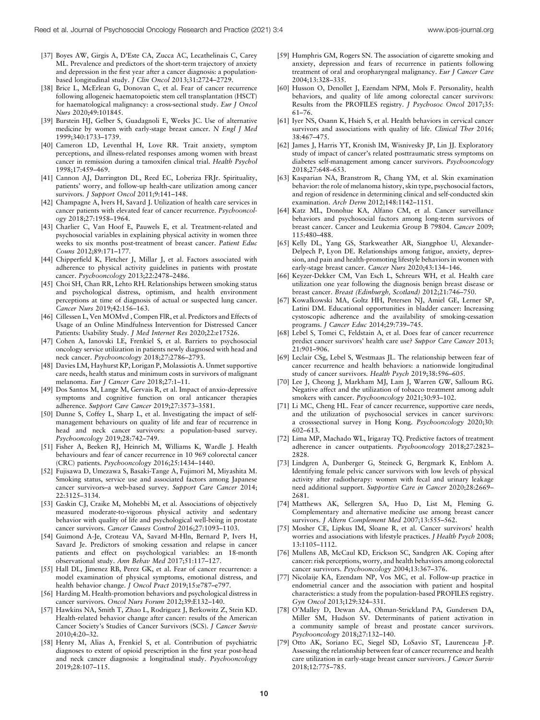- [37] Boyes AW, Girgis A, D'Este CA, Zucca AC, Lecathelinais C, Carey ML. Prevalence and predictors of the short-term trajectory of anxiety and depression in the first year after a cancer diagnosis: a populationbased longitudinal study. J Clin Oncol 2013;31:2724–2729.
- [38] Brice L, McErlean G, Donovan C, et al. Fear of cancer recurrence following allogeneic haematopoietic stem cell transplantation (HSCT) for haematological malignancy: a cross-sectional study. Eur J Oncol Nurs 2020;49:101845.
- [39] Burstein HJ, Gelber S, Guadagnoli E, Weeks JC. Use of alternative medicine by women with early-stage breast cancer. N Engl J Med 1999;340:1733–1739.
- [40] Cameron LD, Leventhal H, Love RR. Trait anxiety, symptom perceptions, and illness-related responses among women with breast cancer in remission during a tamoxifen clinical trial. Health Psychol 1998;17:459–469.
- [41] Cannon AJ, Darrington DL, Reed EC, Loberiza FRJr. Spirituality, patients' worry, and follow-up health-care utilization among cancer survivors. J Support Oncol 2011;9:141-148.
- [42] Champagne A, Ivers H, Savard J. Utilization of health care services in cancer patients with elevated fear of cancer recurrence. Psychooncology 2018;27:1958–1964.
- [43] Charlier C, Van Hoof E, Pauwels E, et al. Treatment-related and psychosocial variables in explaining physical activity in women three weeks to six months post-treatment of breast cancer. Patient Educ Couns 2012;89:171–177.
- [44] Chipperfield K, Fletcher J, Millar J, et al. Factors associated with adherence to physical activity guidelines in patients with prostate cancer. Psychooncology 2013;22:2478–2486.
- [45] Choi SH, Chan RR, Lehto RH. Relationships between smoking status and psychological distress, optimism, and health environment perceptions at time of diagnosis of actual or suspected lung cancer. Cancer Nurs 2019;42:156–163.
- [46] Cillessen L, Ven MOMvd, Compen FlR, et al. Predictors and Effects of Usage of an Online Mindfulness Intervention for Distressed Cancer Patients: Usability Study. J Med Internet Res 2020;22:e17526.
- [47] Cohen A, Ianovski LE, Frenkiel S, et al. Barriers to psychosocial oncology service utilization in patients newly diagnosed with head and neck cancer. Psychooncology 2018;27:2786–2793.
- [48] Davies LM, Hayhurst KP, Lorigan P, Molassiotis A. Unmet supportive care needs, health status and minimum costs in survivors of malignant melanoma. Eur J Cancer Care 2018;27:1-11.
- [49] Dos Santos M, Lange M, Gervais R, et al. Impact of anxio-depressive symptoms and cognitive function on oral anticancer therapies adherence. Support Care Cancer 2019;27:3573–3581.
- [50] Dunne S, Coffey L, Sharp L, et al. Investigating the impact of selfmanagement behaviours on quality of life and fear of recurrence in head and neck cancer survivors: a population-based survey. Psychooncology 2019;28:742–749.
- [51] Fisher A, Beeken RJ, Heinrich M, Williams K, Wardle J. Health behaviours and fear of cancer recurrence in 10 969 colorectal cancer (CRC) patients. Psychooncology 2016;25:1434–1440.
- [52] Fujisawa D, Umezawa S, Basaki-Tange A, Fujimori M, Miyashita M. Smoking status, service use and associated factors among Japanese cancer survivors-a web-based survey. Support Care Cancer 2014; 22:3125–3134.
- [53] Gaskin CJ, Craike M, Mohebbi M, et al. Associations of objectively measured moderate-to-vigorous physical activity and sedentary behavior with quality of life and psychological well-being in prostate cancer survivors. Cancer Causes Control 2016;27:1093–1103.
- [54] Guimond A-Je, Croteau VA, Savard M-Hln, Bernard P, Ivers H, Savard Je. Predictors of smoking cessation and relapse in cancer patients and effect on psychological variables: an 18-month observational study. Ann Behav Med 2017;51:117–127.
- [55] Hall DL, Jimenez RB, Perez GK, et al. Fear of cancer recurrence: a model examination of physical symptoms, emotional distress, and health behavior change. J Oncol Pract 2019;15:e787-e797.
- [56] Harding M. Health-promotion behaviors and psychological distress in cancer survivors. Oncol Nurs Forum 2012;39:E132–140.
- [57] Hawkins NA, Smith T, Zhao L, Rodriguez J, Berkowitz Z, Stein KD. Health-related behavior change after cancer: results of the American Cancer Society's Studies of Cancer Survivors (SCS). J Cancer Surviv 2010;4:20–32.
- [58] Henry M, Alias A, Frenkiel S, et al. Contribution of psychiatric diagnoses to extent of opioid prescription in the first year post-head and neck cancer diagnosis: a longitudinal study. Psychooncology 2019;28:107–115.
- [59] Humphris GM, Rogers SN. The association of cigarette smoking and anxiety, depression and fears of recurrence in patients following treatment of oral and oropharyngeal malignancy. Eur J Cancer Care 2004;13:328–335.
- [60] Husson O, Denollet J, Ezendam NPM, Mols F. Personality, health behaviors, and quality of life among colorectal cancer survivors: Results from the PROFILES registry. J Psychosoc Oncol 2017;35: 61–76.
- [61] Iyer NS, Osann K, Hsieh S, et al. Health behaviors in cervical cancer survivors and associations with quality of life. Clinical Ther 2016; 38:467–475.
- [62] James J, Harris YT, Kronish IM, Wisnivesky JP, Lin JJ. Exploratory study of impact of cancer's related posttraumatic stress symptoms on diabetes self-management among cancer survivors. Psychooncology 2018;27:648–653.
- [63] Kasparian NA, Branstrom R, Chang YM, et al. Skin examination behavior: the role of melanoma history, skin type, psychosocial factors, and region of residence in determining clinical and self-conducted skin examination. Arch Derm 2012;148:1142–1151.
- [64] Katz ML, Donohue KA, Alfano CM, et al. Cancer surveillance behaviors and psychosocial factors among long-term survivors of breast cancer. Cancer and Leukemia Group B 79804. Cancer 2009; 115:480–488.
- [65] Kelly DL, Yang GS, Starkweather AR, Siangphoe U, Alexander-Delpech P, Lyon DE. Relationships among fatigue, anxiety, depression, and pain and health-promoting lifestyle behaviors in women with early-stage breast cancer. Cancer Nurs 2020;43:134–146.
- [66] Keyzer-Dekker CM, Van Esch L, Schreurs WH, et al. Health care utilization one year following the diagnosis benign breast disease or breast cancer. Breast (Edinburgh, Scotland) 2012;21:746–750.
- [67] Kowalkowski MA, Goltz HH, Petersen NJ, Amiel GE, Lerner SP, Latini DM. Educational opportunities in bladder cancer: Increasing cystoscopic adherence and the availability of smoking-cessation programs. J Cancer Educ 2014;29:739–745.
- [68] Lebel S, Tomei C, Feldstain A, et al. Does fear of cancer recurrence predict cancer survivors' health care use? Suppor Care Cancer 2013; 21:901–906.
- [69] Leclair CSg, Lebel S, Westmaas JL. The relationship between fear of cancer recurrence and health behaviors: a nationwide longitudinal study of cancer survivors. Health Psych 2019;38:596–605.
- [70] Lee J, Cheong J, Markham MJ, Lam J, Warren GW, Salloum RG. Negative affect and the utilization of tobacco treatment among adult smokers with cancer. Psychooncology 2021;30:93–102.
- [71] Li MC, Cheng HL. Fear of cancer recurrence, supportive care needs, and the utilization of psychosocial services in cancer survivors: a crosssectional survey in Hong Kong. Psychooncology 2020;30: 602–613.
- [72] Lima MP, Machado WL, Irigaray TQ. Predictive factors of treatment adherence in cancer outpatients. Psychooncology 2018;27:2823– 2828.
- [73] Lindgren A, Dunberger G, Steineck G, Bergmark K, Enblom A. Identifying female pelvic cancer survivors with low levels of physical activity after radiotherapy: women with fecal and urinary leakage need additional support. Supportive Care in Cancer 2020;28:2669– 2681.
- [74] Matthews AK, Sellergren SA, Huo D, List M, Fleming G. Complementary and alternative medicine use among breast cancer survivors. J Altern Complement Med 2007;13:555-562.
- [75] Mosher CE, Lipkus IM, Sloane R, et al. Cancer survivors' health worries and associations with lifestyle practices. J Health Psych 2008; 13:1105–1112.
- [76] Mullens AB, McCaul KD, Erickson SC, Sandgren AK. Coping after cancer: risk perceptions, worry, and health behaviors among colorectal cancer survivors. Psychooncology 2004;13:367–376.
- [77] Nicolaije KA, Ezendam NP, Vos MC, et al. Follow-up practice in endometrial cancer and the association with patient and hospital characteristics: a study from the population-based PROFILES registry. Gyn Oncol 2013;129:324–331.
- [78] O'Malley D, Dewan AA, Ohman-Strickland PA, Gundersen DA, Miller SM, Hudson SV. Determinants of patient activation in a community sample of breast and prostate cancer survivors. Psychooncology 2018;27:132–140.
- [79] Otto AK, Soriano EC, Siegel SD, LoSavio ST, Laurenceau J-P. Assessing the relationship between fear of cancer recurrence and health care utilization in early-stage breast cancer survivors. J Cancer Surviv 2018;12:775–785.